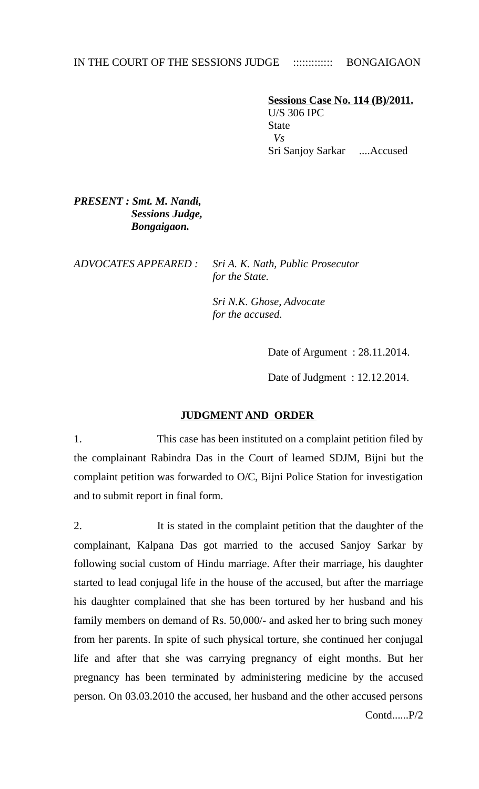# IN THE COURT OF THE SESSIONS JUDGE ::::::::::::::: BONGAIGAON

 **Sessions Case No. 114 (B)/2011.** U/S 306 IPC **State**  *Vs*  Sri Sanjoy Sarkar ....Accused

## *PRESENT : Smt. M. Nandi, Sessions Judge, Bongaigaon.*

*ADVOCATES APPEARED : Sri A. K. Nath, Public Prosecutor for the State.* 

> *Sri N.K. Ghose, Advocate for the accused.*

> > Date of Argument : 28.11.2014.

Date of Judgment : 12.12.2014.

### **JUDGMENT AND ORDER**

1. This case has been instituted on a complaint petition filed by the complainant Rabindra Das in the Court of learned SDJM, Bijni but the complaint petition was forwarded to O/C, Bijni Police Station for investigation and to submit report in final form.

2. It is stated in the complaint petition that the daughter of the complainant, Kalpana Das got married to the accused Sanjoy Sarkar by following social custom of Hindu marriage. After their marriage, his daughter started to lead conjugal life in the house of the accused, but after the marriage his daughter complained that she has been tortured by her husband and his family members on demand of Rs. 50,000/- and asked her to bring such money from her parents. In spite of such physical torture, she continued her conjugal life and after that she was carrying pregnancy of eight months. But her pregnancy has been terminated by administering medicine by the accused person. On 03.03.2010 the accused, her husband and the other accused persons Contd......P/2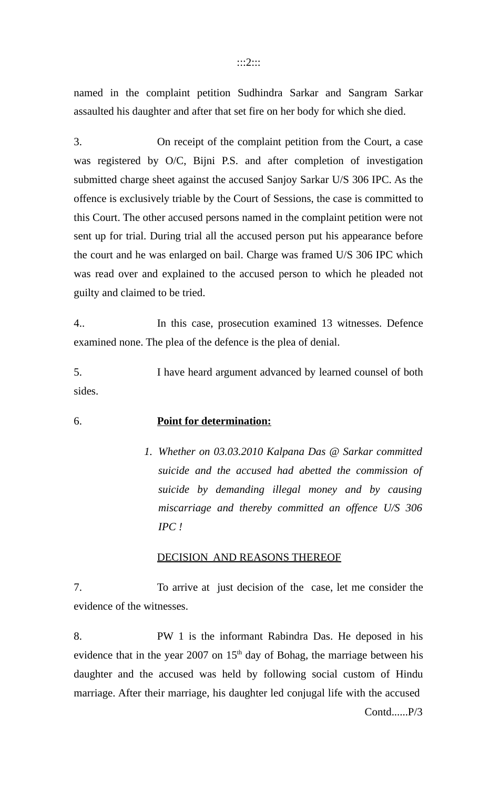#### :::2:::

named in the complaint petition Sudhindra Sarkar and Sangram Sarkar assaulted his daughter and after that set fire on her body for which she died.

3. On receipt of the complaint petition from the Court, a case was registered by O/C, Bijni P.S. and after completion of investigation submitted charge sheet against the accused Sanjoy Sarkar U/S 306 IPC. As the offence is exclusively triable by the Court of Sessions, the case is committed to this Court. The other accused persons named in the complaint petition were not sent up for trial. During trial all the accused person put his appearance before the court and he was enlarged on bail. Charge was framed U/S 306 IPC which was read over and explained to the accused person to which he pleaded not guilty and claimed to be tried.

4.. In this case, prosecution examined 13 witnesses. Defence examined none. The plea of the defence is the plea of denial.

5. I have heard argument advanced by learned counsel of both sides.

### 6. **Point for determination:**

*1. Whether on 03.03.2010 Kalpana Das @ Sarkar committed suicide and the accused had abetted the commission of suicide by demanding illegal money and by causing miscarriage and thereby committed an offence U/S 306 IPC !*

### DECISION AND REASONS THEREOF

7. To arrive at just decision of the case, let me consider the evidence of the witnesses.

8. PW 1 is the informant Rabindra Das. He deposed in his evidence that in the year 2007 on  $15<sup>th</sup>$  day of Bohag, the marriage between his daughter and the accused was held by following social custom of Hindu marriage. After their marriage, his daughter led conjugal life with the accused Contd......P/3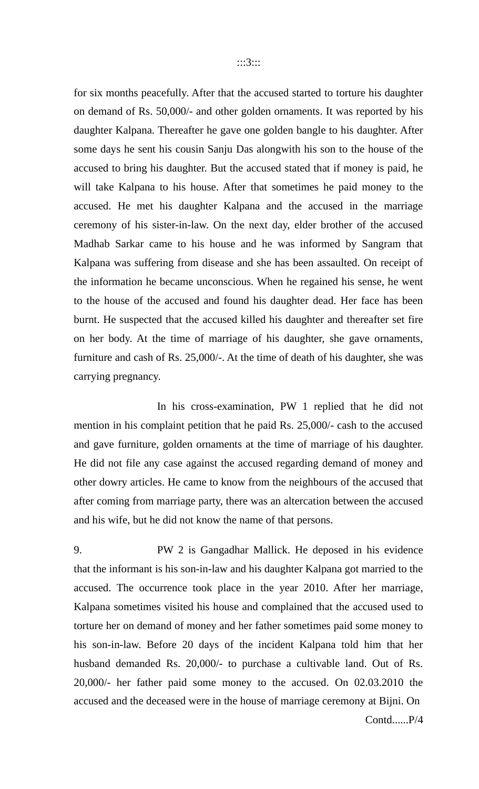for six months peacefully. After that the accused started to torture his daughter on demand of Rs. 50,000/- and other golden ornaments. It was reported by his daughter Kalpana. Thereafter he gave one golden bangle to his daughter. After some days he sent his cousin Sanju Das alongwith his son to the house of the accused to bring his daughter. But the accused stated that if money is paid, he will take Kalpana to his house. After that sometimes he paid money to the accused. He met his daughter Kalpana and the accused in the marriage ceremony of his sister-in-law. On the next day, elder brother of the accused Madhab Sarkar came to his house and he was informed by Sangram that Kalpana was suffering from disease and she has been assaulted. On receipt of the information he became unconscious. When he regained his sense, he went to the house of the accused and found his daughter dead. Her face has been burnt. He suspected that the accused killed his daughter and thereafter set fire on her body. At the time of marriage of his daughter, she gave ornaments, furniture and cash of Rs. 25,000/-. At the time of death of his daughter, she was carrying pregnancy.

In his cross-examination, PW 1 replied that he did not mention in his complaint petition that he paid Rs. 25,000/- cash to the accused and gave furniture, golden ornaments at the time of marriage of his daughter. He did not file any case against the accused regarding demand of money and other dowry articles. He came to know from the neighbours of the accused that after coming from marriage party, there was an altercation between the accused and his wife, but he did not know the name of that persons.

9. PW 2 is Gangadhar Mallick. He deposed in his evidence that the informant is his son-in-law and his daughter Kalpana got married to the accused. The occurrence took place in the year 2010. After her marriage, Kalpana sometimes visited his house and complained that the accused used to torture her on demand of money and her father sometimes paid some money to his son-in-law. Before 20 days of the incident Kalpana told him that her husband demanded Rs. 20,000/- to purchase a cultivable land. Out of Rs. 20,000/- her father paid some money to the accused. On 02.03.2010 the accused and the deceased were in the house of marriage ceremony at Bijni. On Contd......P/4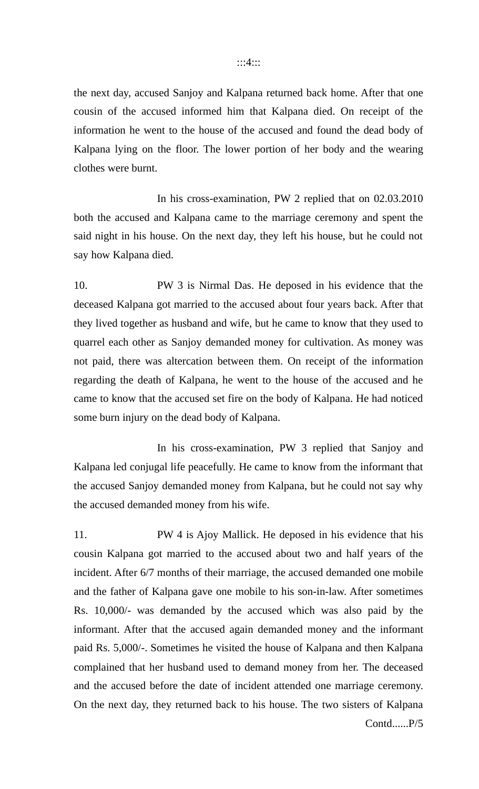the next day, accused Sanjoy and Kalpana returned back home. After that one cousin of the accused informed him that Kalpana died. On receipt of the information he went to the house of the accused and found the dead body of Kalpana lying on the floor. The lower portion of her body and the wearing clothes were burnt.

In his cross-examination, PW 2 replied that on 02.03.2010 both the accused and Kalpana came to the marriage ceremony and spent the said night in his house. On the next day, they left his house, but he could not say how Kalpana died.

10. PW 3 is Nirmal Das. He deposed in his evidence that the deceased Kalpana got married to the accused about four years back. After that they lived together as husband and wife, but he came to know that they used to quarrel each other as Sanjoy demanded money for cultivation. As money was not paid, there was altercation between them. On receipt of the information regarding the death of Kalpana, he went to the house of the accused and he came to know that the accused set fire on the body of Kalpana. He had noticed some burn injury on the dead body of Kalpana.

In his cross-examination, PW 3 replied that Sanjoy and Kalpana led conjugal life peacefully. He came to know from the informant that the accused Sanjoy demanded money from Kalpana, but he could not say why the accused demanded money from his wife.

11. PW 4 is Ajoy Mallick. He deposed in his evidence that his cousin Kalpana got married to the accused about two and half years of the incident. After 6/7 months of their marriage, the accused demanded one mobile and the father of Kalpana gave one mobile to his son-in-law. After sometimes Rs. 10,000/- was demanded by the accused which was also paid by the informant. After that the accused again demanded money and the informant paid Rs. 5,000/-. Sometimes he visited the house of Kalpana and then Kalpana complained that her husband used to demand money from her. The deceased and the accused before the date of incident attended one marriage ceremony. On the next day, they returned back to his house. The two sisters of Kalpana Contd......P/5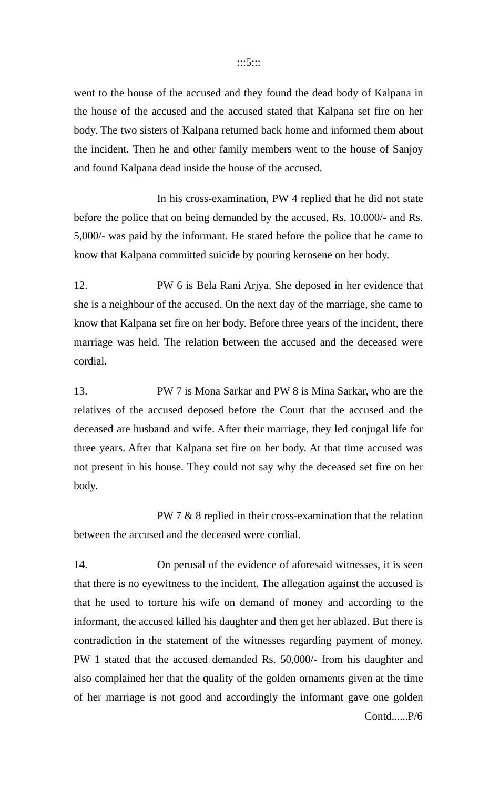#### :::5:::

went to the house of the accused and they found the dead body of Kalpana in the house of the accused and the accused stated that Kalpana set fire on her body. The two sisters of Kalpana returned back home and informed them about the incident. Then he and other family members went to the house of Sanjoy and found Kalpana dead inside the house of the accused.

In his cross-examination, PW 4 replied that he did not state before the police that on being demanded by the accused, Rs. 10,000/- and Rs. 5,000/- was paid by the informant. He stated before the police that he came to know that Kalpana committed suicide by pouring kerosene on her body.

12. PW 6 is Bela Rani Arjya. She deposed in her evidence that she is a neighbour of the accused. On the next day of the marriage, she came to know that Kalpana set fire on her body. Before three years of the incident, there marriage was held. The relation between the accused and the deceased were cordial.

13. PW 7 is Mona Sarkar and PW 8 is Mina Sarkar, who are the relatives of the accused deposed before the Court that the accused and the deceased are husband and wife. After their marriage, they led conjugal life for three years. After that Kalpana set fire on her body. At that time accused was not present in his house. They could not say why the deceased set fire on her body.

PW 7 & 8 replied in their cross-examination that the relation between the accused and the deceased were cordial.

14. On perusal of the evidence of aforesaid witnesses, it is seen that there is no eyewitness to the incident. The allegation against the accused is that he used to torture his wife on demand of money and according to the informant, the accused killed his daughter and then get her ablazed. But there is contradiction in the statement of the witnesses regarding payment of money. PW 1 stated that the accused demanded Rs. 50,000/- from his daughter and also complained her that the quality of the golden ornaments given at the time of her marriage is not good and accordingly the informant gave one golden Contd......P/6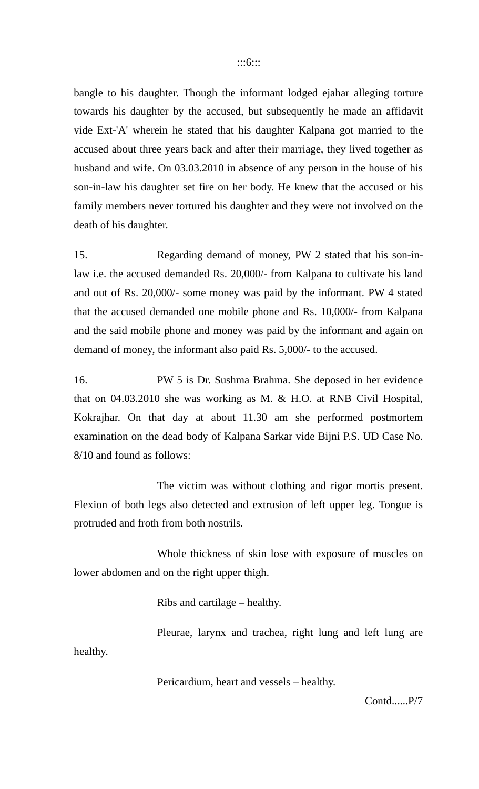bangle to his daughter. Though the informant lodged ejahar alleging torture towards his daughter by the accused, but subsequently he made an affidavit vide Ext-'A' wherein he stated that his daughter Kalpana got married to the accused about three years back and after their marriage, they lived together as husband and wife. On 03.03.2010 in absence of any person in the house of his son-in-law his daughter set fire on her body. He knew that the accused or his family members never tortured his daughter and they were not involved on the death of his daughter.

15. Regarding demand of money, PW 2 stated that his son-inlaw i.e. the accused demanded Rs. 20,000/- from Kalpana to cultivate his land and out of Rs. 20,000/- some money was paid by the informant. PW 4 stated that the accused demanded one mobile phone and Rs. 10,000/- from Kalpana and the said mobile phone and money was paid by the informant and again on demand of money, the informant also paid Rs. 5,000/- to the accused.

16. PW 5 is Dr. Sushma Brahma. She deposed in her evidence that on 04.03.2010 she was working as M. & H.O. at RNB Civil Hospital, Kokrajhar. On that day at about 11.30 am she performed postmortem examination on the dead body of Kalpana Sarkar vide Bijni P.S. UD Case No. 8/10 and found as follows:

The victim was without clothing and rigor mortis present. Flexion of both legs also detected and extrusion of left upper leg. Tongue is protruded and froth from both nostrils.

Whole thickness of skin lose with exposure of muscles on lower abdomen and on the right upper thigh.

Ribs and cartilage – healthy.

Pleurae, larynx and trachea, right lung and left lung are healthy.

Pericardium, heart and vessels – healthy.

Contd......P/7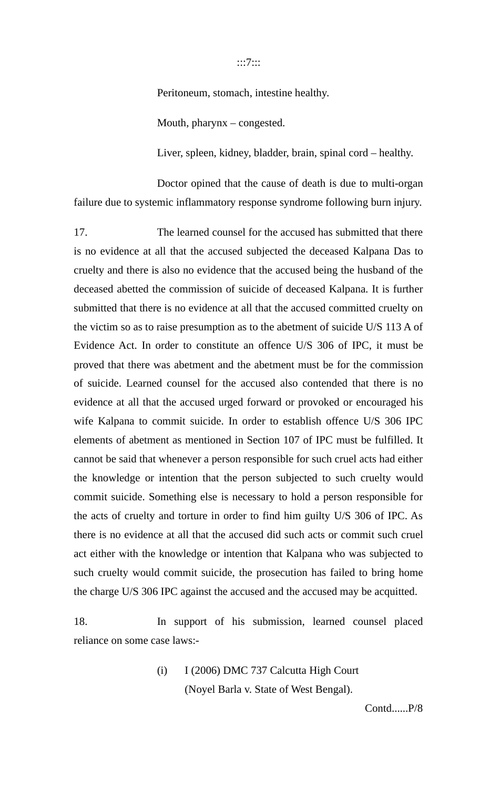:::7:::

Peritoneum, stomach, intestine healthy.

Mouth, pharynx – congested.

Liver, spleen, kidney, bladder, brain, spinal cord – healthy.

Doctor opined that the cause of death is due to multi-organ failure due to systemic inflammatory response syndrome following burn injury.

17. The learned counsel for the accused has submitted that there is no evidence at all that the accused subjected the deceased Kalpana Das to cruelty and there is also no evidence that the accused being the husband of the deceased abetted the commission of suicide of deceased Kalpana. It is further submitted that there is no evidence at all that the accused committed cruelty on the victim so as to raise presumption as to the abetment of suicide U/S 113 A of Evidence Act. In order to constitute an offence U/S 306 of IPC, it must be proved that there was abetment and the abetment must be for the commission of suicide. Learned counsel for the accused also contended that there is no evidence at all that the accused urged forward or provoked or encouraged his wife Kalpana to commit suicide. In order to establish offence U/S 306 IPC elements of abetment as mentioned in Section 107 of IPC must be fulfilled. It cannot be said that whenever a person responsible for such cruel acts had either the knowledge or intention that the person subjected to such cruelty would commit suicide. Something else is necessary to hold a person responsible for the acts of cruelty and torture in order to find him guilty U/S 306 of IPC. As there is no evidence at all that the accused did such acts or commit such cruel act either with the knowledge or intention that Kalpana who was subjected to such cruelty would commit suicide, the prosecution has failed to bring home the charge U/S 306 IPC against the accused and the accused may be acquitted.

18. In support of his submission, learned counsel placed reliance on some case laws:-

> (i) I (2006) DMC 737 Calcutta High Court (Noyel Barla v. State of West Bengal).

> > Contd......P/8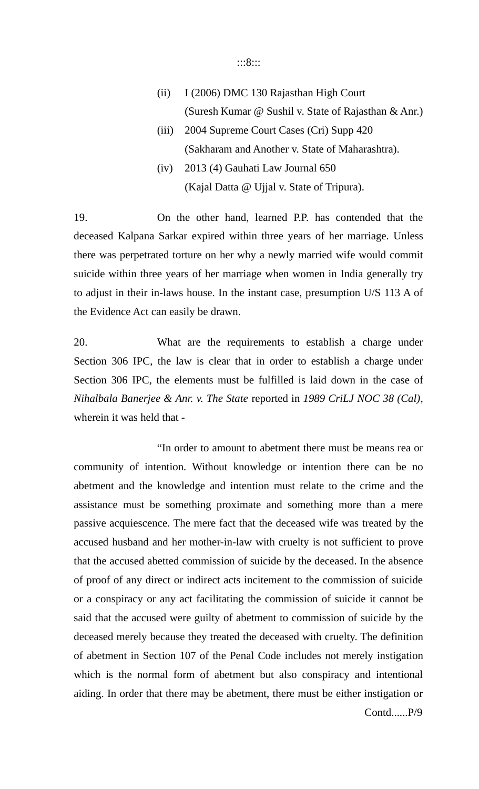#### :::8:::

- (ii) I (2006) DMC 130 Rajasthan High Court (Suresh Kumar @ Sushil v. State of Rajasthan & Anr.)
- (iii) 2004 Supreme Court Cases (Cri) Supp 420 (Sakharam and Another v. State of Maharashtra).
- (iv) 2013 (4) Gauhati Law Journal 650 (Kajal Datta  $@$  Ujjal v. State of Tripura).

19. On the other hand, learned P.P. has contended that the deceased Kalpana Sarkar expired within three years of her marriage. Unless there was perpetrated torture on her why a newly married wife would commit suicide within three years of her marriage when women in India generally try to adjust in their in-laws house. In the instant case, presumption U/S 113 A of the Evidence Act can easily be drawn.

20. What are the requirements to establish a charge under Section 306 IPC, the law is clear that in order to establish a charge under Section 306 IPC, the elements must be fulfilled is laid down in the case of *Nihalbala Banerjee & Anr. v. The State* reported in *1989 CriLJ NOC 38 (Cal)*, wherein it was held that -

"In order to amount to abetment there must be means rea or community of intention. Without knowledge or intention there can be no abetment and the knowledge and intention must relate to the crime and the assistance must be something proximate and something more than a mere passive acquiescence. The mere fact that the deceased wife was treated by the accused husband and her mother-in-law with cruelty is not sufficient to prove that the accused abetted commission of suicide by the deceased. In the absence of proof of any direct or indirect acts incitement to the commission of suicide or a conspiracy or any act facilitating the commission of suicide it cannot be said that the accused were guilty of abetment to commission of suicide by the deceased merely because they treated the deceased with cruelty. The definition of abetment in Section 107 of the Penal Code includes not merely instigation which is the normal form of abetment but also conspiracy and intentional aiding. In order that there may be abetment, there must be either instigation or Contd......P/9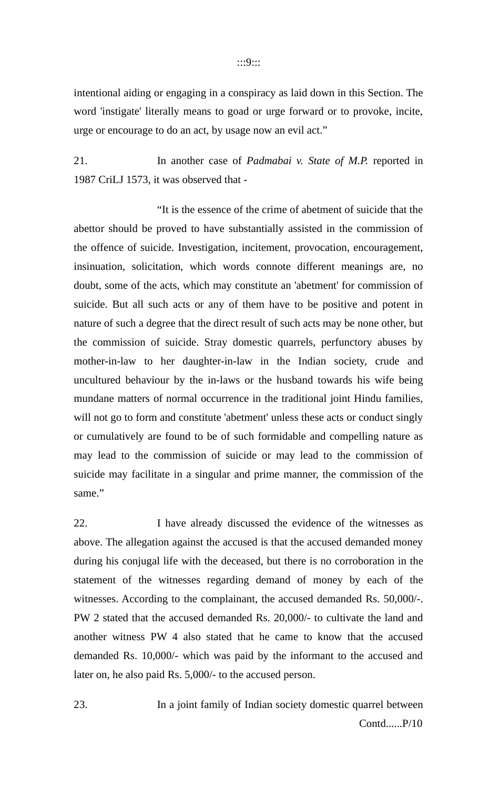:::9:::

intentional aiding or engaging in a conspiracy as laid down in this Section. The word 'instigate' literally means to goad or urge forward or to provoke, incite, urge or encourage to do an act, by usage now an evil act."

21. In another case of *Padmabai v. State of M.P.* reported in 1987 CriLJ 1573, it was observed that -

"It is the essence of the crime of abetment of suicide that the abettor should be proved to have substantially assisted in the commission of the offence of suicide. Investigation, incitement, provocation, encouragement, insinuation, solicitation, which words connote different meanings are, no doubt, some of the acts, which may constitute an 'abetment' for commission of suicide. But all such acts or any of them have to be positive and potent in nature of such a degree that the direct result of such acts may be none other, but the commission of suicide. Stray domestic quarrels, perfunctory abuses by mother-in-law to her daughter-in-law in the Indian society, crude and uncultured behaviour by the in-laws or the husband towards his wife being mundane matters of normal occurrence in the traditional joint Hindu families, will not go to form and constitute 'abetment' unless these acts or conduct singly or cumulatively are found to be of such formidable and compelling nature as may lead to the commission of suicide or may lead to the commission of suicide may facilitate in a singular and prime manner, the commission of the same."

22. I have already discussed the evidence of the witnesses as above. The allegation against the accused is that the accused demanded money during his conjugal life with the deceased, but there is no corroboration in the statement of the witnesses regarding demand of money by each of the witnesses. According to the complainant, the accused demanded Rs. 50,000/-. PW 2 stated that the accused demanded Rs. 20,000/- to cultivate the land and another witness PW 4 also stated that he came to know that the accused demanded Rs. 10,000/- which was paid by the informant to the accused and later on, he also paid Rs. 5,000/- to the accused person.

23. In a joint family of Indian society domestic quarrel between Contd......P/10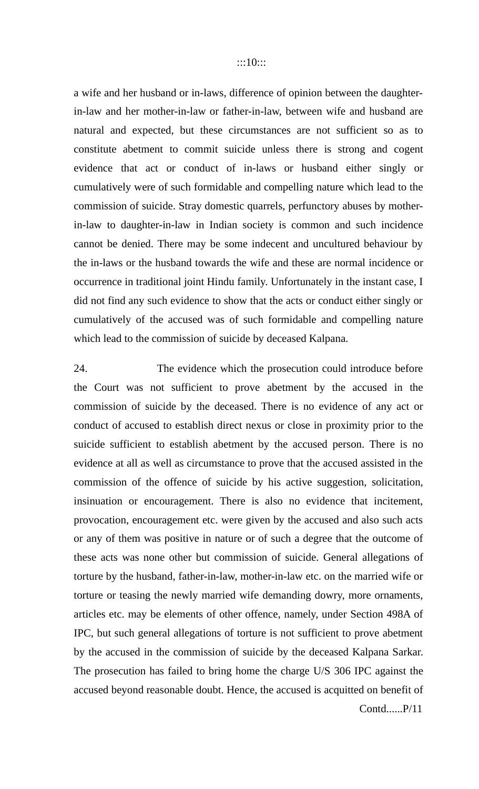a wife and her husband or in-laws, difference of opinion between the daughterin-law and her mother-in-law or father-in-law, between wife and husband are natural and expected, but these circumstances are not sufficient so as to constitute abetment to commit suicide unless there is strong and cogent evidence that act or conduct of in-laws or husband either singly or cumulatively were of such formidable and compelling nature which lead to the commission of suicide. Stray domestic quarrels, perfunctory abuses by motherin-law to daughter-in-law in Indian society is common and such incidence cannot be denied. There may be some indecent and uncultured behaviour by the in-laws or the husband towards the wife and these are normal incidence or occurrence in traditional joint Hindu family. Unfortunately in the instant case, I did not find any such evidence to show that the acts or conduct either singly or cumulatively of the accused was of such formidable and compelling nature which lead to the commission of suicide by deceased Kalpana.

24. The evidence which the prosecution could introduce before the Court was not sufficient to prove abetment by the accused in the commission of suicide by the deceased. There is no evidence of any act or conduct of accused to establish direct nexus or close in proximity prior to the suicide sufficient to establish abetment by the accused person. There is no evidence at all as well as circumstance to prove that the accused assisted in the commission of the offence of suicide by his active suggestion, solicitation, insinuation or encouragement. There is also no evidence that incitement, provocation, encouragement etc. were given by the accused and also such acts or any of them was positive in nature or of such a degree that the outcome of these acts was none other but commission of suicide. General allegations of torture by the husband, father-in-law, mother-in-law etc. on the married wife or torture or teasing the newly married wife demanding dowry, more ornaments, articles etc. may be elements of other offence, namely, under Section 498A of IPC, but such general allegations of torture is not sufficient to prove abetment by the accused in the commission of suicide by the deceased Kalpana Sarkar. The prosecution has failed to bring home the charge U/S 306 IPC against the accused beyond reasonable doubt. Hence, the accused is acquitted on benefit of Contd......P/11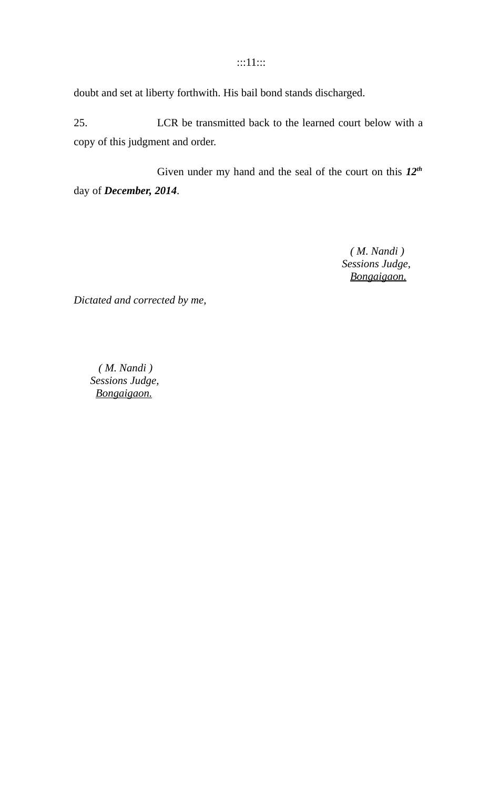### :::11:::

doubt and set at liberty forthwith. His bail bond stands discharged.

25. LCR be transmitted back to the learned court below with a copy of this judgment and order.

Given under my hand and the seal of the court on this *12th* day of *December, 2014*.

> *( M. Nandi ) Sessions Judge, Bongaigaon.*

*Dictated and corrected by me,*

 *( M. Nandi ) Sessions Judge, Bongaigaon.*